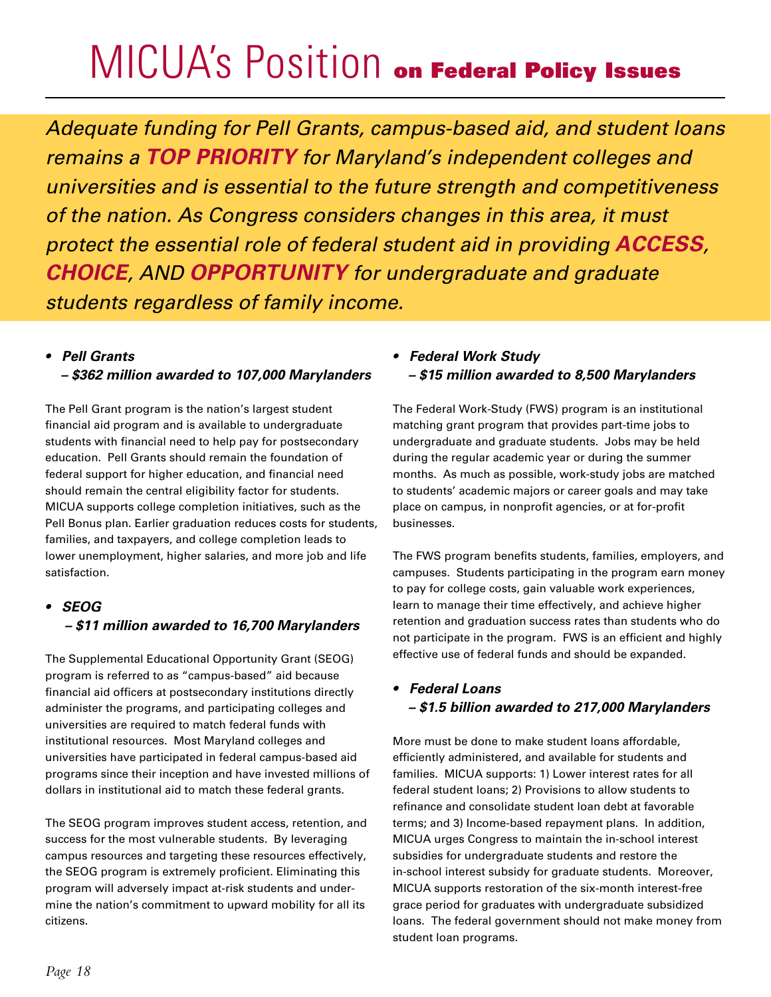## MICUA's Position on Federal Policy Issues

*Adequate funding for Pell Grants, campus-based aid, and student loans remains a TOP PRIORITY for Maryland's independent colleges and universities and is essential to the future strength and competitiveness of the nation. As Congress considers changes in this area, it must protect the essential role of federal student aid in providing ACCESS, CHOICE, AND OPPORTUNITY for undergraduate and graduate students regardless of family income.* 

### *• Pell Grants*

### *– \$362 million awarded to 107,000 Marylanders*

The Pell Grant program is the nation's largest student financial aid program and is available to undergraduate students with financial need to help pay for postsecondary education. Pell Grants should remain the foundation of federal support for higher education, and financial need should remain the central eligibility factor for students. MICUA supports college completion initiatives, such as the Pell Bonus plan. Earlier graduation reduces costs for students, families, and taxpayers, and college completion leads to lower unemployment, higher salaries, and more job and life satisfaction.

### *• SEOG – \$11 million awarded to 16,700 Marylanders*

The Supplemental Educational Opportunity Grant (SEOG) program is referred to as "campus-based" aid because financial aid officers at postsecondary institutions directly administer the programs, and participating colleges and universities are required to match federal funds with institutional resources. Most Maryland colleges and universities have participated in federal campus-based aid programs since their inception and have invested millions of dollars in institutional aid to match these federal grants.

The SEOG program improves student access, retention, and success for the most vulnerable students. By leveraging campus resources and targeting these resources effectively, the SEOG program is extremely proficient. Eliminating this program will adversely impact at-risk students and undermine the nation's commitment to upward mobility for all its citizens.

## *• Federal Work Study – \$15 million awarded to 8,500 Marylanders*

The Federal Work-Study (FWS) program is an institutional matching grant program that provides part-time jobs to undergraduate and graduate students. Jobs may be held during the regular academic year or during the summer months. As much as possible, work-study jobs are matched to students' academic majors or career goals and may take place on campus, in nonprofit agencies, or at for-profit businesses.

The FWS program benefits students, families, employers, and campuses. Students participating in the program earn money to pay for college costs, gain valuable work experiences, learn to manage their time effectively, and achieve higher retention and graduation success rates than students who do not participate in the program. FWS is an efficient and highly effective use of federal funds and should be expanded.

## *• Federal Loans – \$1.5 billion awarded to 217,000 Marylanders*

More must be done to make student loans affordable, efficiently administered, and available for students and families. MICUA supports: 1) Lower interest rates for all federal student loans; 2) Provisions to allow students to refinance and consolidate student loan debt at favorable terms; and 3) Income-based repayment plans. In addition, MICUA urges Congress to maintain the in-school interest subsidies for undergraduate students and restore the in-school interest subsidy for graduate students. Moreover, MICUA supports restoration of the six-month interest-free grace period for graduates with undergraduate subsidized loans. The federal government should not make money from student loan programs.